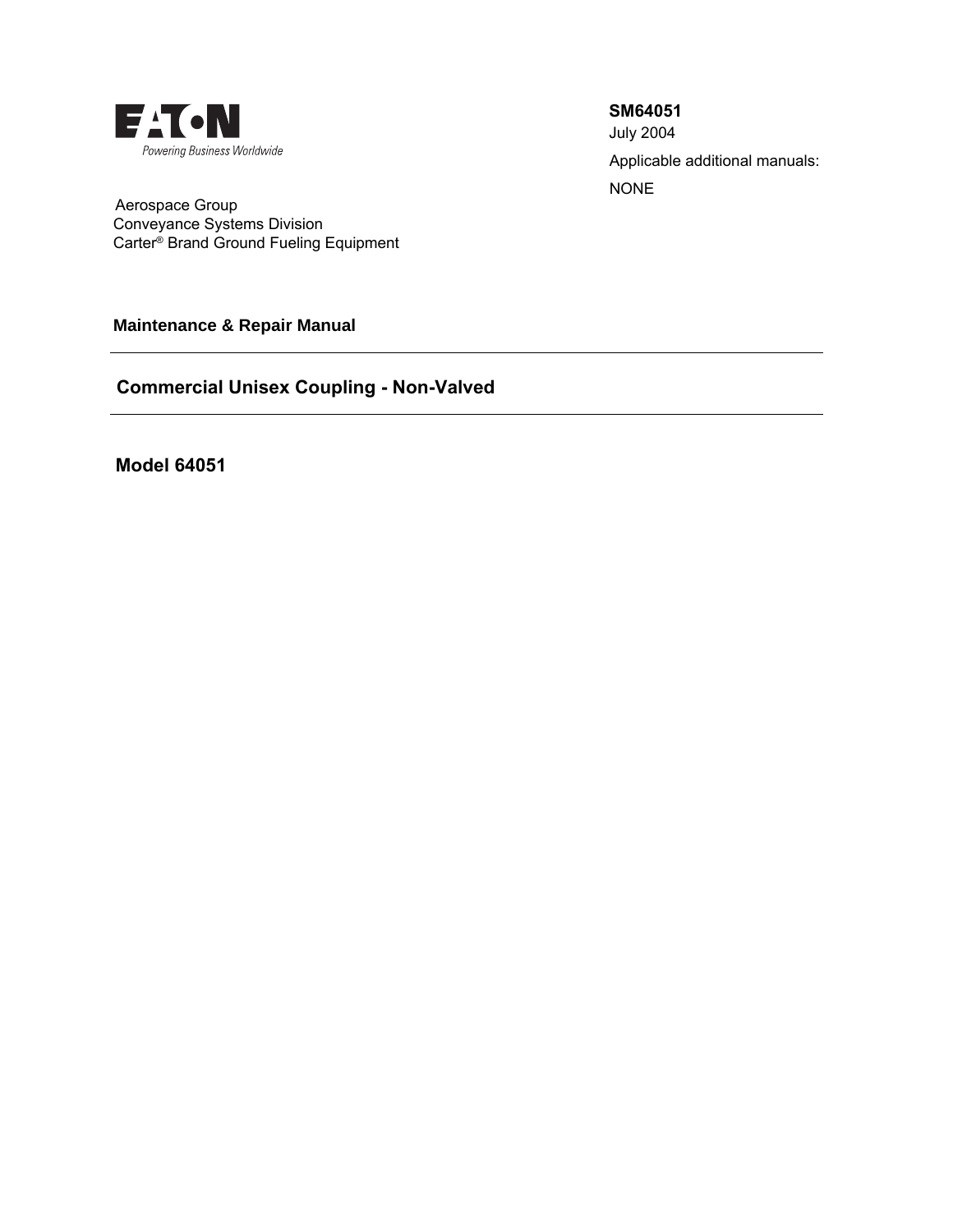

Applicable additional manuals: NONE **SM64051** July 2004

 Aerospace Group Conveyance Systems Division Carter® Brand Ground Fueling Equipment

**Maintenance & Repair Manual** 

**Commercial Unisex Coupling - Non-Valved**

**Model 64051**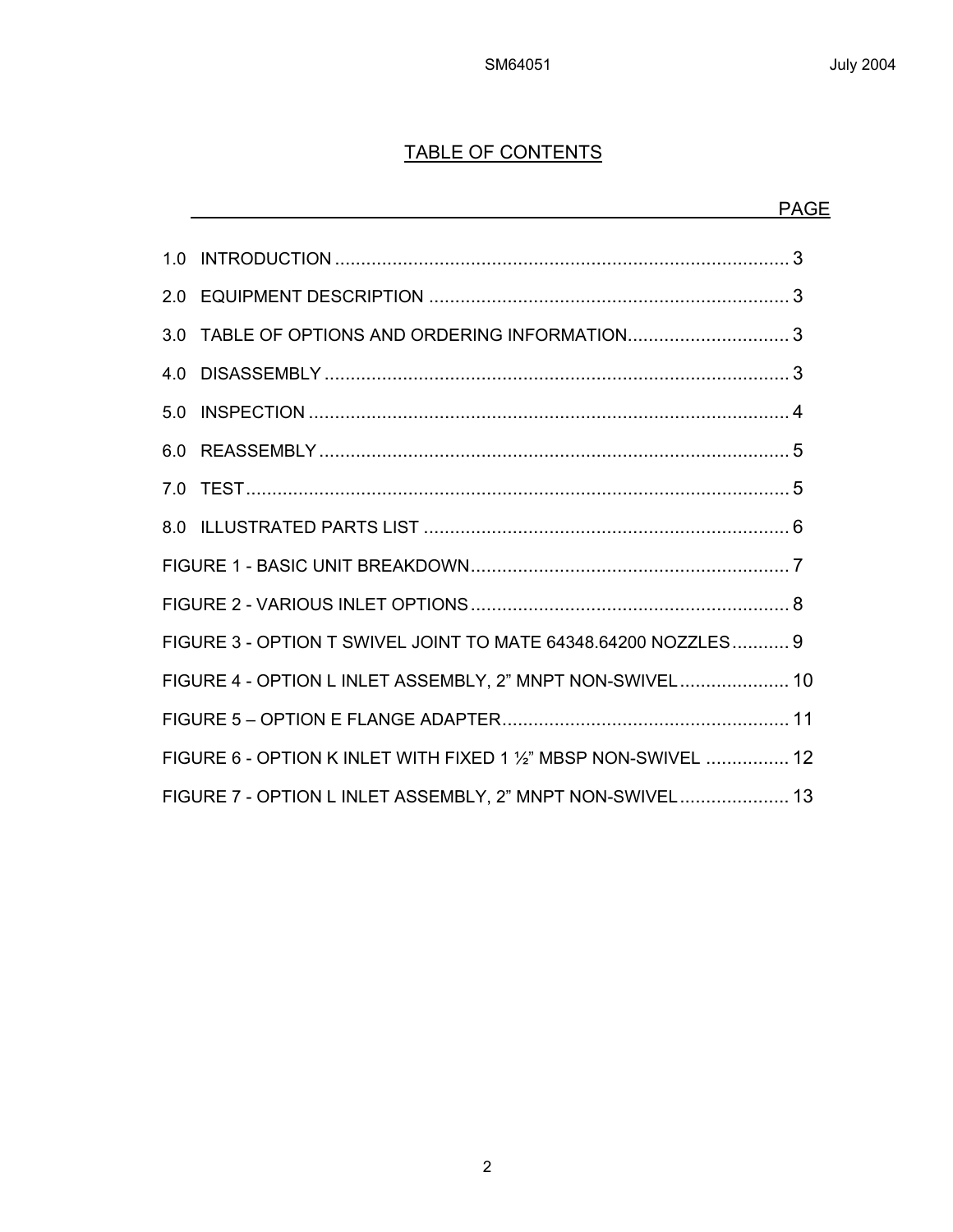# TABLE OF CONTENTS

|     |                                                                 | <b>PAGE</b> |
|-----|-----------------------------------------------------------------|-------------|
|     |                                                                 |             |
|     |                                                                 |             |
| 3.0 |                                                                 |             |
|     |                                                                 |             |
|     |                                                                 |             |
|     |                                                                 |             |
|     |                                                                 |             |
|     |                                                                 |             |
|     |                                                                 |             |
|     |                                                                 |             |
|     | FIGURE 3 - OPTION T SWIVEL JOINT TO MATE 64348.64200 NOZZLES 9  |             |
|     | FIGURE 4 - OPTION L INLET ASSEMBLY, 2" MNPT NON-SWIVEL 10       |             |
|     |                                                                 |             |
|     | FIGURE 6 - OPTION K INLET WITH FIXED 1 1/2" MBSP NON-SWIVEL  12 |             |
|     | FIGURE 7 - OPTION L INLET ASSEMBLY, 2" MNPT NON-SWIVEL 13       |             |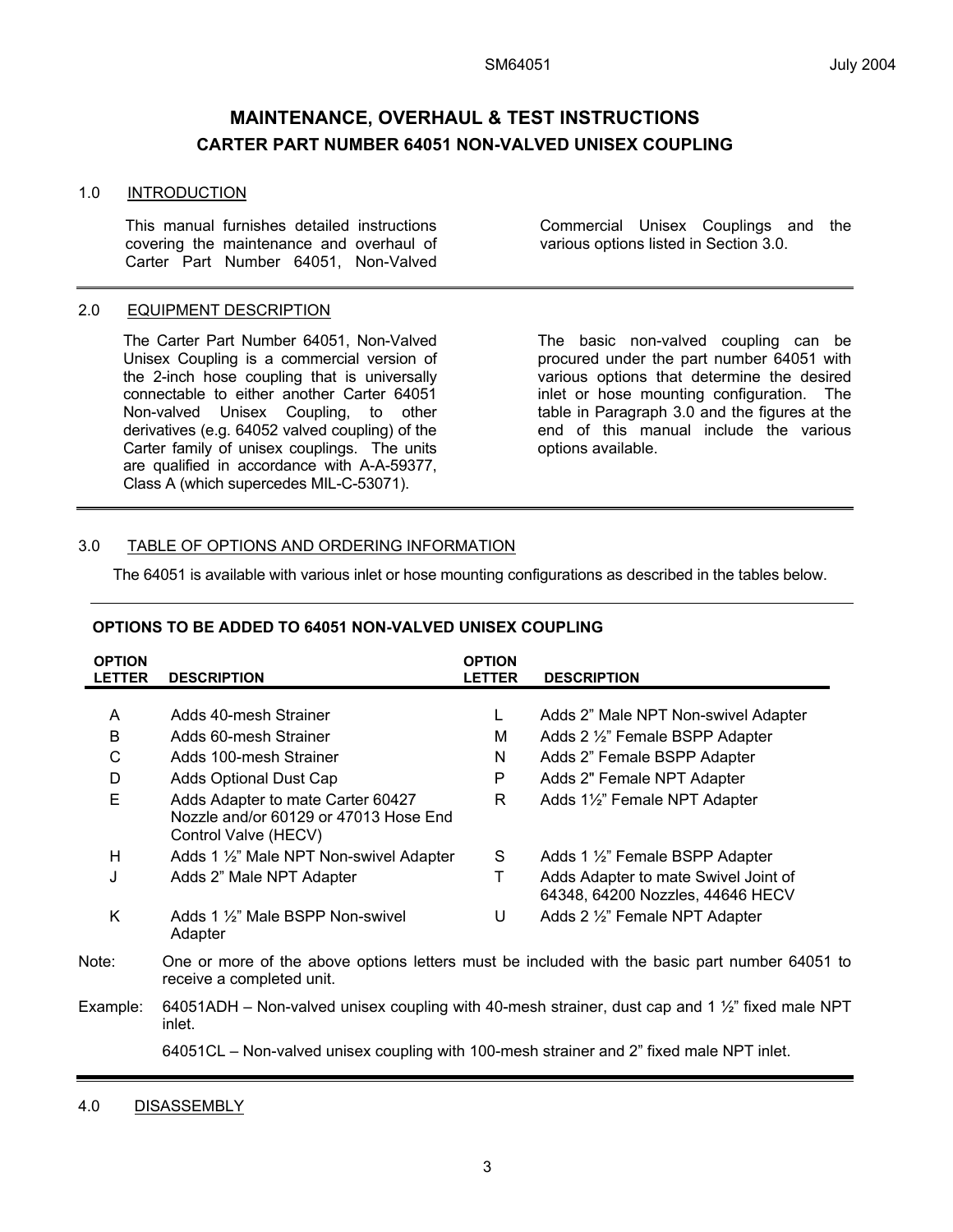## **MAINTENANCE, OVERHAUL & TEST INSTRUCTIONS CARTER PART NUMBER 64051 NON-VALVED UNISEX COUPLING**

#### 1.0 INTRODUCTION

This manual furnishes detailed instructions covering the maintenance and overhaul of Carter Part Number 64051, Non-Valved

#### 2.0 EQUIPMENT DESCRIPTION

The Carter Part Number 64051, Non-Valved Unisex Coupling is a commercial version of the 2-inch hose coupling that is universally connectable to either another Carter 64051 Non-valved Unisex Coupling, to other derivatives (e.g. 64052 valved coupling) of the Carter family of unisex couplings. The units are qualified in accordance with A-A-59377, Class A (which supercedes MIL-C-53071).

Commercial Unisex Couplings and the various options listed in Section 3.0.

The basic non-valved coupling can be procured under the part number 64051 with various options that determine the desired inlet or hose mounting configuration. The table in Paragraph 3.0 and the figures at the end of this manual include the various options available.

#### 3.0 TABLE OF OPTIONS AND ORDERING INFORMATION

The 64051 is available with various inlet or hose mounting configurations as described in the tables below.

| <b>OPTION</b><br><b>LETTER</b> | <b>DESCRIPTION</b>                                                                                 | <b>OPTION</b><br><b>LETTER</b> | <b>DESCRIPTION</b>                                                                                         |
|--------------------------------|----------------------------------------------------------------------------------------------------|--------------------------------|------------------------------------------------------------------------------------------------------------|
|                                |                                                                                                    |                                |                                                                                                            |
| A                              | Adds 40-mesh Strainer                                                                              | L                              | Adds 2" Male NPT Non-swivel Adapter                                                                        |
| B                              | Adds 60-mesh Strainer                                                                              | M                              | Adds 2 1/2" Female BSPP Adapter                                                                            |
| C                              | Adds 100-mesh Strainer                                                                             | N                              | Adds 2" Female BSPP Adapter                                                                                |
| D                              | Adds Optional Dust Cap                                                                             | P                              | Adds 2" Female NPT Adapter                                                                                 |
| E                              | Adds Adapter to mate Carter 60427<br>Nozzle and/or 60129 or 47013 Hose End<br>Control Valve (HECV) | R                              | Adds 1½" Female NPT Adapter                                                                                |
| H                              | Adds 1 1/2" Male NPT Non-swivel Adapter                                                            | S                              | Adds 1 1/2" Female BSPP Adapter                                                                            |
| J                              | Adds 2" Male NPT Adapter                                                                           | т                              | Adds Adapter to mate Swivel Joint of<br>64348, 64200 Nozzles, 44646 HECV                                   |
| K                              | Adds 1 1/2" Male BSPP Non-swivel<br>Adapter                                                        | U                              | Adds 2 1/2" Female NPT Adapter                                                                             |
| Note:                          | receive a completed unit.                                                                          |                                | One or more of the above options letters must be included with the basic part number 64051 to              |
| Example:                       | inlet.                                                                                             |                                | 64051ADH – Non-valved unisex coupling with 40-mesh strainer, dust cap and 1 $\frac{1}{2}$ " fixed male NPT |

#### **OPTIONS TO BE ADDED TO 64051 NON-VALVED UNISEX COUPLING**

64051CL – Non-valved unisex coupling with 100-mesh strainer and 2" fixed male NPT inlet.

4.0 DISASSEMBLY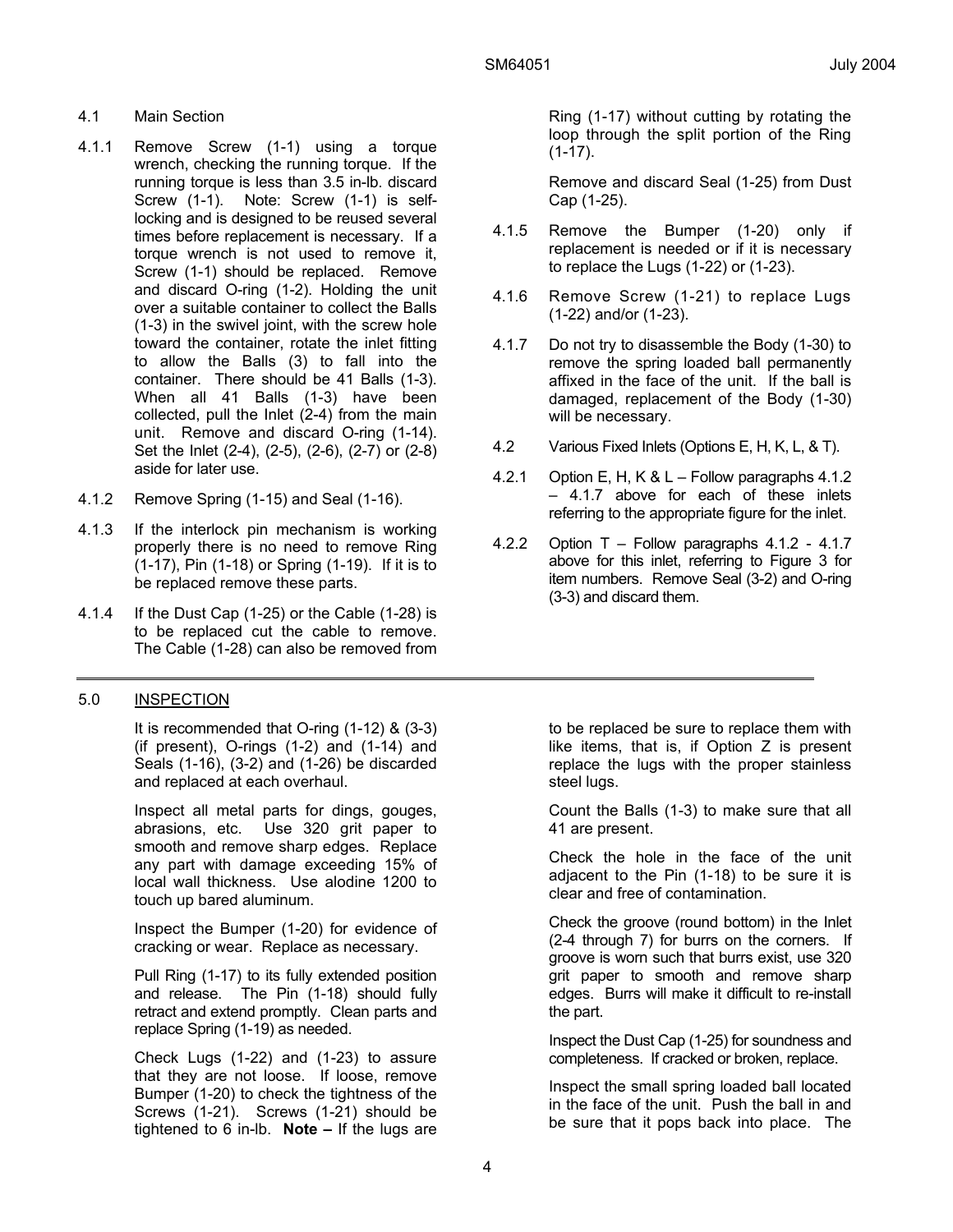- 4.1 Main Section
- 4.1.1 Remove Screw (1-1) using a torque wrench, checking the running torque. If the running torque is less than 3.5 in-lb. discard Screw (1-1). Note: Screw (1-1) is selflocking and is designed to be reused several times before replacement is necessary. If a torque wrench is not used to remove it, Screw (1-1) should be replaced. Remove and discard O-ring (1-2). Holding the unit over a suitable container to collect the Balls (1-3) in the swivel joint, with the screw hole toward the container, rotate the inlet fitting to allow the Balls (3) to fall into the container. There should be 41 Balls (1-3). When all 41 Balls (1-3) have been collected, pull the Inlet (2-4) from the main unit. Remove and discard O-ring (1-14). Set the Inlet (2-4), (2-5), (2-6), (2-7) or (2-8) aside for later use.
- 4.1.2 Remove Spring (1-15) and Seal (1-16).
- 4.1.3 If the interlock pin mechanism is working properly there is no need to remove Ring (1-17), Pin (1-18) or Spring (1-19). If it is to be replaced remove these parts.
- 4.1.4 If the Dust Cap (1-25) or the Cable (1-28) is to be replaced cut the cable to remove. The Cable (1-28) can also be removed from

#### 5.0 INSPECTION

 It is recommended that O-ring (1-12) & (3-3) (if present), O-rings (1-2) and (1-14) and Seals (1-16), (3-2) and (1-26) be discarded and replaced at each overhaul.

 Inspect all metal parts for dings, gouges, abrasions, etc. Use 320 grit paper to smooth and remove sharp edges. Replace any part with damage exceeding 15% of local wall thickness. Use alodine 1200 to touch up bared aluminum.

 Inspect the Bumper (1-20) for evidence of cracking or wear. Replace as necessary.

 Pull Ring (1-17) to its fully extended position and release. The Pin (1-18) should fully retract and extend promptly. Clean parts and replace Spring (1-19) as needed.

 Check Lugs (1-22) and (1-23) to assure that they are not loose. If loose, remove Bumper (1-20) to check the tightness of the Screws (1-21). Screws (1-21) should be tightened to 6 in-lb. **Note –** If the lugs are

Ring (1-17) without cutting by rotating the loop through the split portion of the Ring (1-17).

 Remove and discard Seal (1-25) from Dust Cap (1-25).

- 4.1.5 Remove the Bumper (1-20) only if replacement is needed or if it is necessary to replace the Lugs (1-22) or (1-23).
- 4.1.6 Remove Screw (1-21) to replace Lugs (1-22) and/or (1-23).
- 4.1.7 Do not try to disassemble the Body (1-30) to remove the spring loaded ball permanently affixed in the face of the unit. If the ball is damaged, replacement of the Body (1-30) will be necessary.
- 4.2 Various Fixed Inlets (Options E, H, K, L, & T).
- 4.2.1 Option E, H, K & L Follow paragraphs 4.1.2 – 4.1.7 above for each of these inlets referring to the appropriate figure for the inlet.
- 4.2.2 Option T Follow paragraphs 4.1.2 4.1.7 above for this inlet, referring to Figure 3 for item numbers. Remove Seal (3-2) and O-ring (3-3) and discard them.

to be replaced be sure to replace them with like items, that is, if Option Z is present replace the lugs with the proper stainless steel lugs.

 Count the Balls (1-3) to make sure that all 41 are present.

 Check the hole in the face of the unit adjacent to the Pin (1-18) to be sure it is clear and free of contamination.

 Check the groove (round bottom) in the Inlet (2-4 through 7) for burrs on the corners. If groove is worn such that burrs exist, use 320 grit paper to smooth and remove sharp edges. Burrs will make it difficult to re-install the part.

 Inspect the Dust Cap (1-25) for soundness and completeness. If cracked or broken, replace.

 Inspect the small spring loaded ball located in the face of the unit. Push the ball in and be sure that it pops back into place. The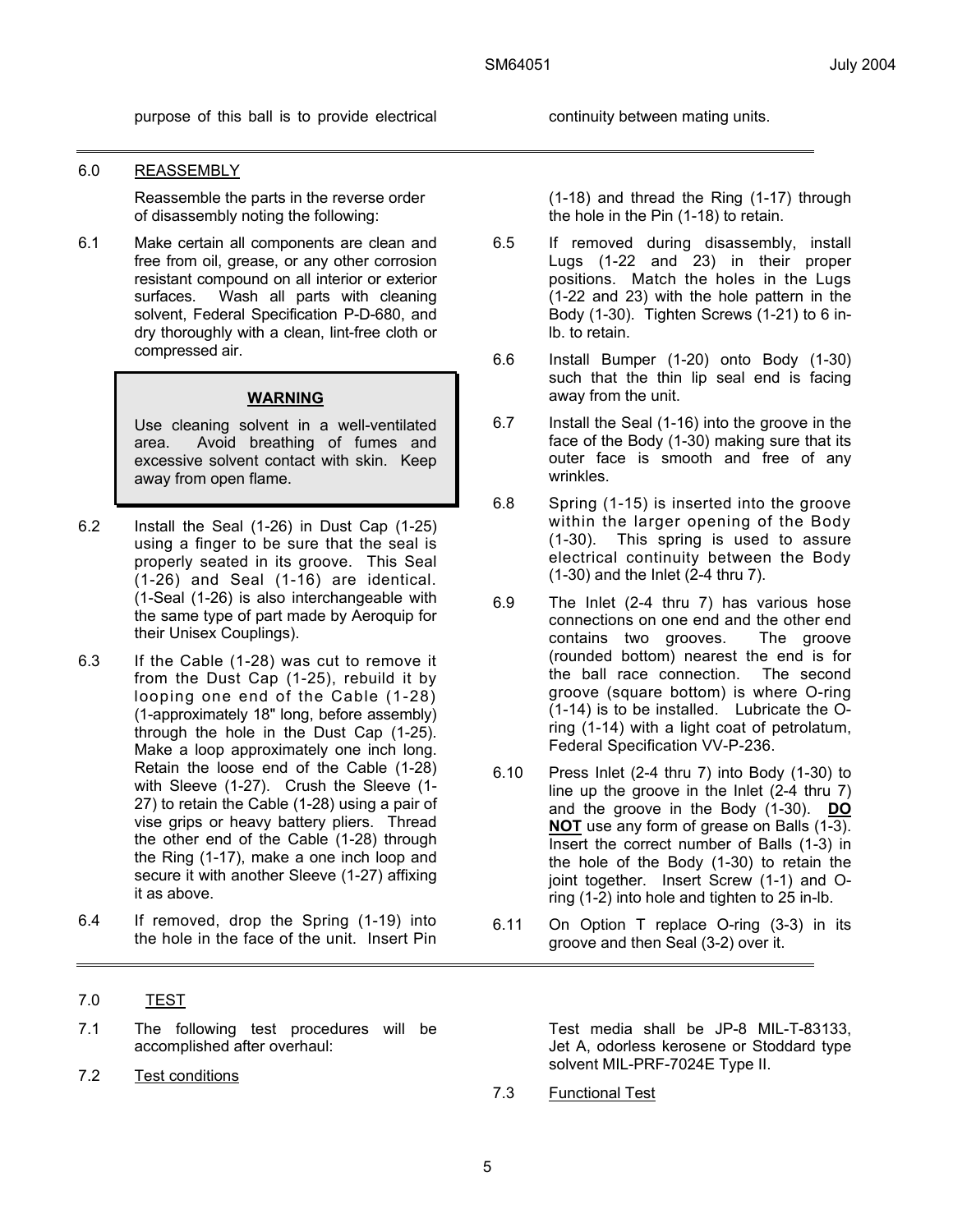purpose of this ball is to provide electrical continuity between mating units.

#### 6.0 REASSEMBLY

 Reassemble the parts in the reverse order of disassembly noting the following:

6.1 Make certain all components are clean and free from oil, grease, or any other corrosion resistant compound on all interior or exterior surfaces. Wash all parts with cleaning solvent, Federal Specification P-D-680, and dry thoroughly with a clean, lint-free cloth or compressed air.

#### **WARNING**

Use cleaning solvent in a well-ventilated area. Avoid breathing of fumes and excessive solvent contact with skin. Keep away from open flame.

- 6.2 Install the Seal (1-26) in Dust Cap (1-25) using a finger to be sure that the seal is properly seated in its groove. This Seal (1-26) and Seal (1-16) are identical. (1-Seal (1-26) is also interchangeable with the same type of part made by Aeroquip for their Unisex Couplings).
- 6.3 If the Cable (1-28) was cut to remove it from the Dust Cap (1-25), rebuild it by looping one end of the Cable (1-28) (1-approximately 18" long, before assembly) through the hole in the Dust Cap (1-25). Make a loop approximately one inch long. Retain the loose end of the Cable (1-28) with Sleeve (1-27). Crush the Sleeve (1- 27) to retain the Cable (1-28) using a pair of vise grips or heavy battery pliers. Thread the other end of the Cable (1-28) through the Ring (1-17), make a one inch loop and secure it with another Sleeve (1-27) affixing it as above.
- 6.4 If removed, drop the Spring (1-19) into the hole in the face of the unit. Insert Pin
- 7.0 TEST
- 7.1 The following test procedures will be accomplished after overhaul:
- 7.2 Test conditions

(1-18) and thread the Ring (1-17) through the hole in the Pin (1-18) to retain.

- 6.5 If removed during disassembly, install Lugs (1-22 and 23) in their proper positions. Match the holes in the Lugs (1-22 and 23) with the hole pattern in the Body (1-30). Tighten Screws (1-21) to 6 inlb. to retain.
- 6.6 Install Bumper (1-20) onto Body (1-30) such that the thin lip seal end is facing away from the unit.
- 6.7 Install the Seal (1-16) into the groove in the face of the Body (1-30) making sure that its outer face is smooth and free of any wrinkles.
- 6.8 Spring (1-15) is inserted into the groove within the larger opening of the Body (1-30). This spring is used to assure electrical continuity between the Body (1-30) and the Inlet (2-4 thru 7).
- 6.9 The Inlet (2-4 thru 7) has various hose connections on one end and the other end contains two grooves. The groove (rounded bottom) nearest the end is for the ball race connection. The second groove (square bottom) is where O-ring (1-14) is to be installed. Lubricate the Oring (1-14) with a light coat of petrolatum, Federal Specification VV-P-236.
- 6.10 Press Inlet (2-4 thru 7) into Body (1-30) to line up the groove in the Inlet (2-4 thru 7) and the groove in the Body (1-30). **DO NOT** use any form of grease on Balls (1-3). Insert the correct number of Balls (1-3) in the hole of the Body (1-30) to retain the joint together. Insert Screw (1-1) and Oring (1-2) into hole and tighten to 25 in-lb.
- 6.11 On Option T replace O-ring (3-3) in its groove and then Seal (3-2) over it.

 Test media shall be JP-8 MIL-T-83133, Jet A, odorless kerosene or Stoddard type solvent MIL-PRF-7024E Type II.

7.3 Functional Test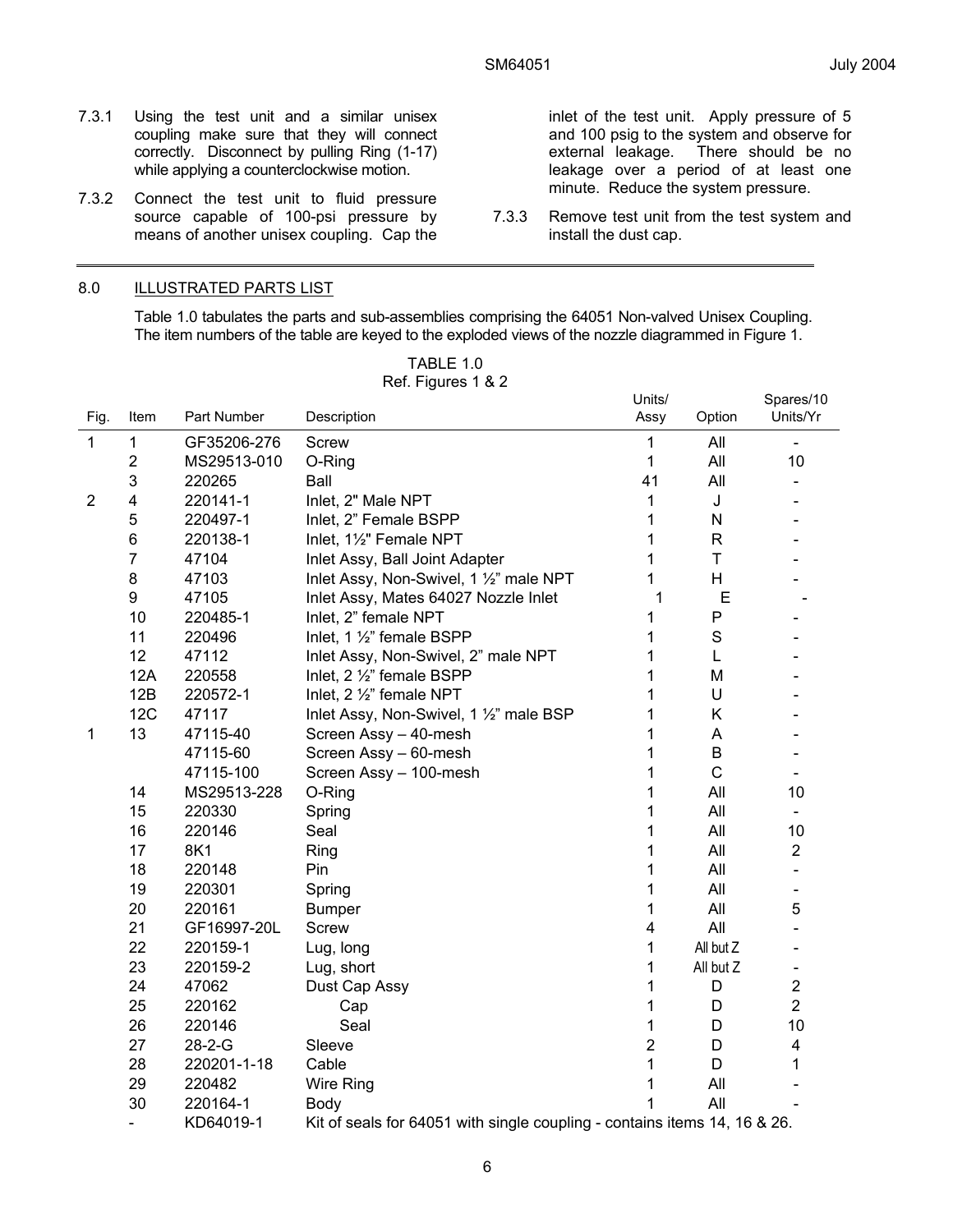inlet of the test unit. Apply pressure of 5 and 100 psig to the system and observe for external leakage. There should be no

leakage over a period of at least one minute. Reduce the system pressure. 7.3.3 Remove test unit from the test system and

install the dust cap.

There should be no

- 7.3.1 Using the test unit and a similar unisex coupling make sure that they will connect correctly. Disconnect by pulling Ring (1-17) while applying a counterclockwise motion.
- 7.3.2 Connect the test unit to fluid pressure source capable of 100-psi pressure by means of another unisex coupling. Cap the

#### 8.0 ILLUSTRATED PARTS LIST

 Table 1.0 tabulates the parts and sub-assemblies comprising the 64051 Non-valved Unisex Coupling. The item numbers of the table are keyed to the exploded views of the nozzle diagrammed in Figure 1.

| Fig.           | Item           | Part Number  | Description                                                               | Units/<br>Assy          | Option       | Spares/10<br>Units/Yr        |
|----------------|----------------|--------------|---------------------------------------------------------------------------|-------------------------|--------------|------------------------------|
| $\mathbf{1}$   | 1              | GF35206-276  | <b>Screw</b>                                                              | 1                       | All          |                              |
|                | $\overline{c}$ | MS29513-010  | O-Ring                                                                    | 1                       | All          | 10                           |
|                | 3              | 220265       | Ball                                                                      | 41                      | All          |                              |
| $\overline{2}$ | 4              | 220141-1     | Inlet, 2" Male NPT                                                        | 1                       | J            |                              |
|                | 5              | 220497-1     | Inlet, 2" Female BSPP                                                     | 1                       | N            |                              |
|                | 6              | 220138-1     | Inlet, 11/2" Female NPT                                                   | 1                       | $\mathsf{R}$ |                              |
|                | 7              | 47104        | Inlet Assy, Ball Joint Adapter                                            | 1                       | T            |                              |
|                | 8              | 47103        | Inlet Assy, Non-Swivel, 1 1/2" male NPT                                   | 1                       | H            |                              |
|                | 9              | 47105        | Inlet Assy, Mates 64027 Nozzle Inlet                                      | 1                       | E            |                              |
|                | 10             | 220485-1     | Inlet, 2" female NPT                                                      | 1                       | P            |                              |
|                | 11             | 220496       | Inlet, 1 1/2" female BSPP                                                 | 1                       | $\mathbf S$  |                              |
|                | 12             | 47112        | Inlet Assy, Non-Swivel, 2" male NPT                                       | 1                       | L            |                              |
|                | 12A            | 220558       | Inlet, 2 1/2" female BSPP                                                 | 1                       | M            |                              |
|                | 12B            | 220572-1     | Inlet, 2 1/2" female NPT                                                  | 1                       | U            |                              |
|                | 12C            | 47117        | Inlet Assy, Non-Swivel, 1 1/2" male BSP                                   | 1                       | Κ            |                              |
| 1              | 13             | 47115-40     | Screen Assy - 40-mesh                                                     | 1                       | A            |                              |
|                |                | 47115-60     | Screen Assy - 60-mesh                                                     | 1                       | B            |                              |
|                |                | 47115-100    | Screen Assy - 100-mesh                                                    | 1                       | $\mathsf C$  | $\overline{\phantom{a}}$     |
|                | 14             | MS29513-228  | O-Ring                                                                    | 1                       | All          | 10                           |
|                | 15             | 220330       | Spring                                                                    | 1                       | All          | $\blacksquare$               |
|                | 16             | 220146       | Seal                                                                      | 1                       | All          | 10                           |
|                | 17             | 8K1          | Ring                                                                      | 1                       | All          | $\overline{2}$               |
|                | 18             | 220148       | Pin                                                                       | 1                       | All          |                              |
|                | 19             | 220301       | Spring                                                                    | 1                       | All          | $\qquad \qquad \blacksquare$ |
|                | 20             | 220161       | <b>Bumper</b>                                                             | 1                       | All          | 5                            |
|                | 21             | GF16997-20L  | <b>Screw</b>                                                              | $\overline{\mathbf{4}}$ | All          |                              |
|                | 22             | 220159-1     | Lug, long                                                                 | 1                       | All but Z    |                              |
|                | 23             | 220159-2     | Lug, short                                                                | 1                       | All but Z    |                              |
|                | 24             | 47062        | Dust Cap Assy                                                             | 1                       | D            | $\overline{2}$               |
|                | 25             | 220162       | Cap                                                                       | 1                       | D            | $\overline{2}$               |
|                | 26             | 220146       | Seal                                                                      | 1                       | D            | 10                           |
|                | 27             | $28 - 2 - G$ | Sleeve                                                                    | $\overline{2}$          | D            | $\overline{\mathbf{4}}$      |
|                | 28             | 220201-1-18  | Cable                                                                     | 1                       | D            | $\mathbf{1}$                 |
|                | 29             | 220482       | Wire Ring                                                                 | 1                       | All          |                              |
|                | 30             | 220164-1     | Body                                                                      | 1                       | All          |                              |
|                | Ξ.             | KD64019-1    | Kit of seals for 64051 with single coupling - contains items 14, 16 & 26. |                         |              |                              |

TABLE 1.0 Ref. Figures 1 & 2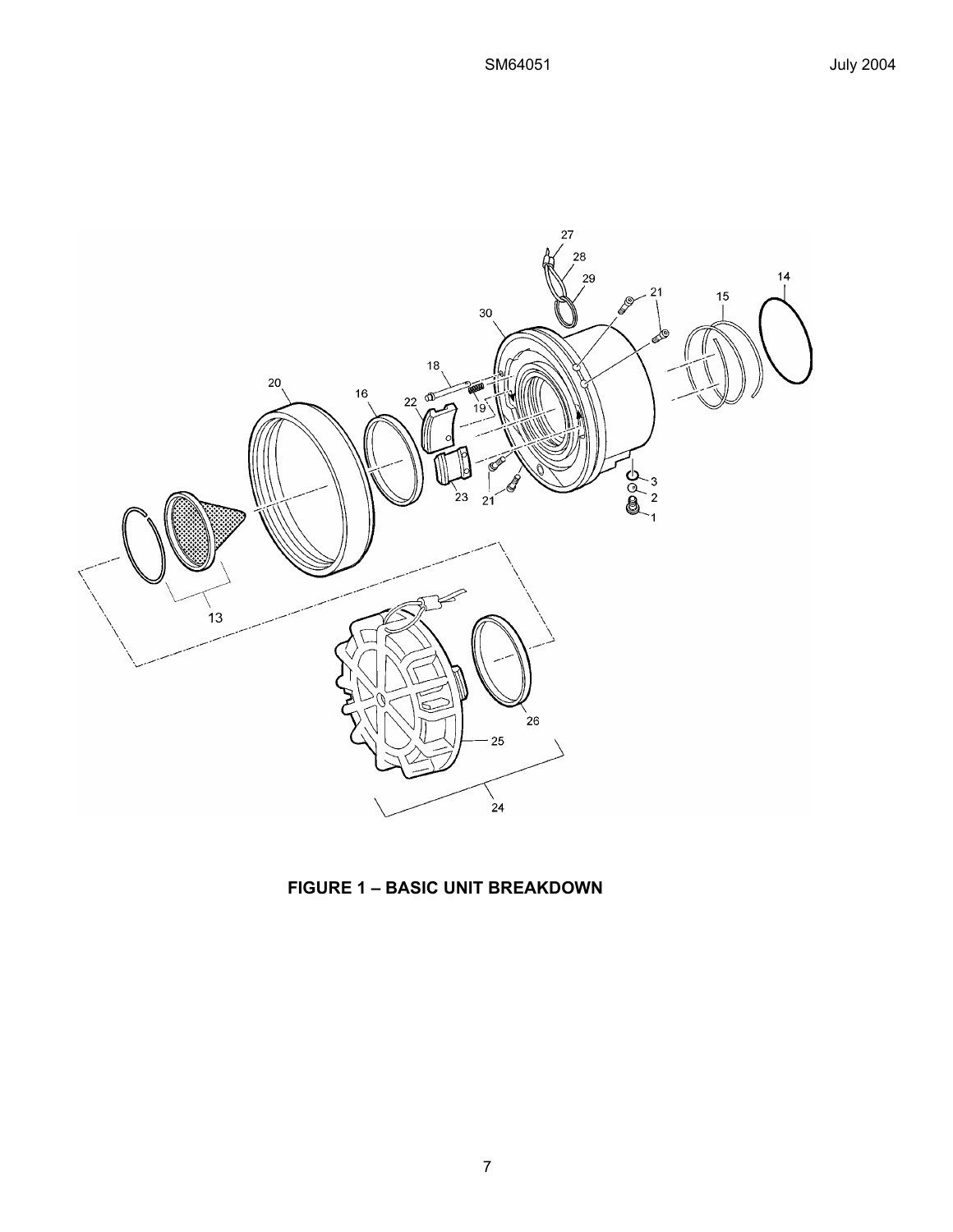

**FIGURE 1 – BASIC UNIT BREAKDOWN**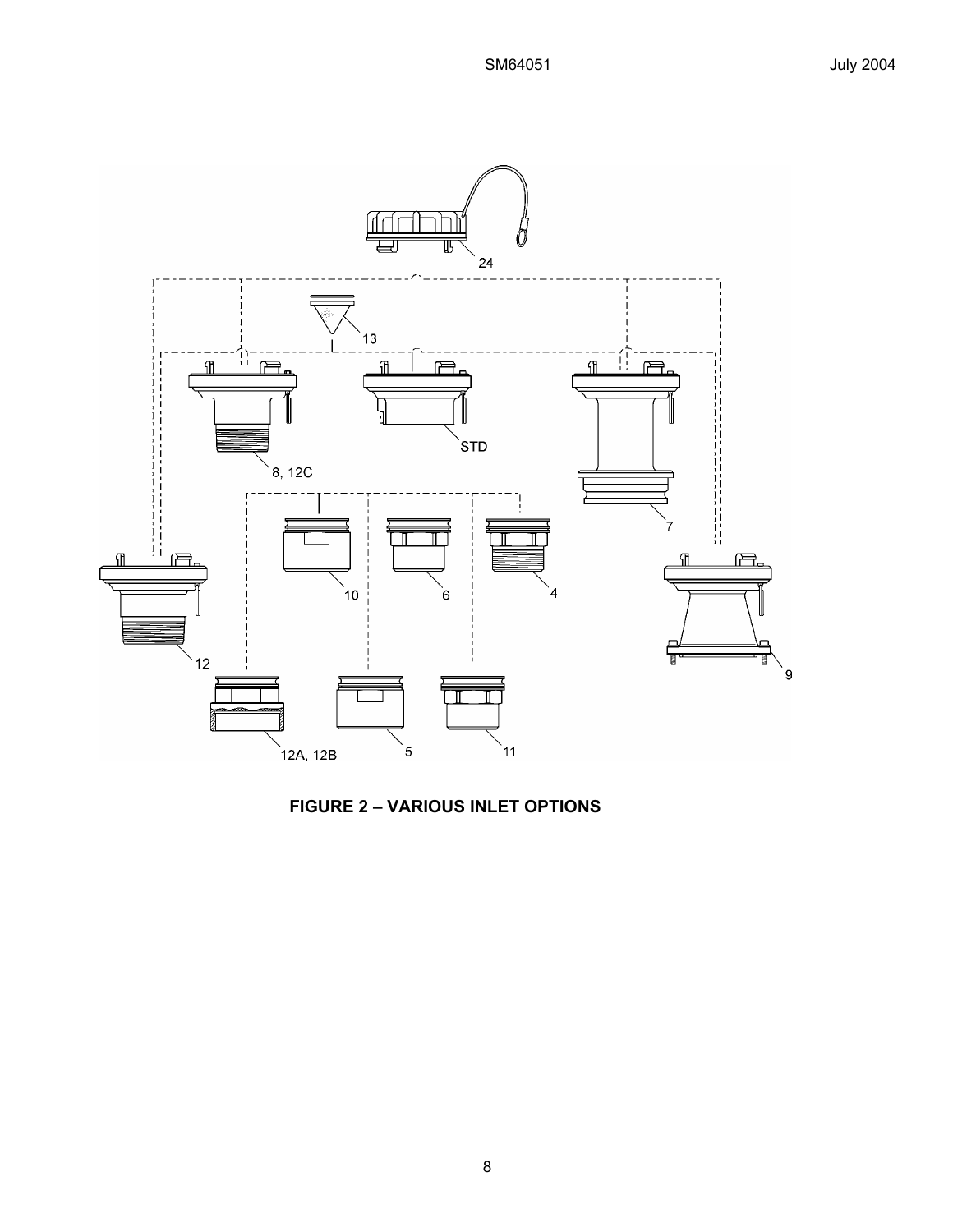

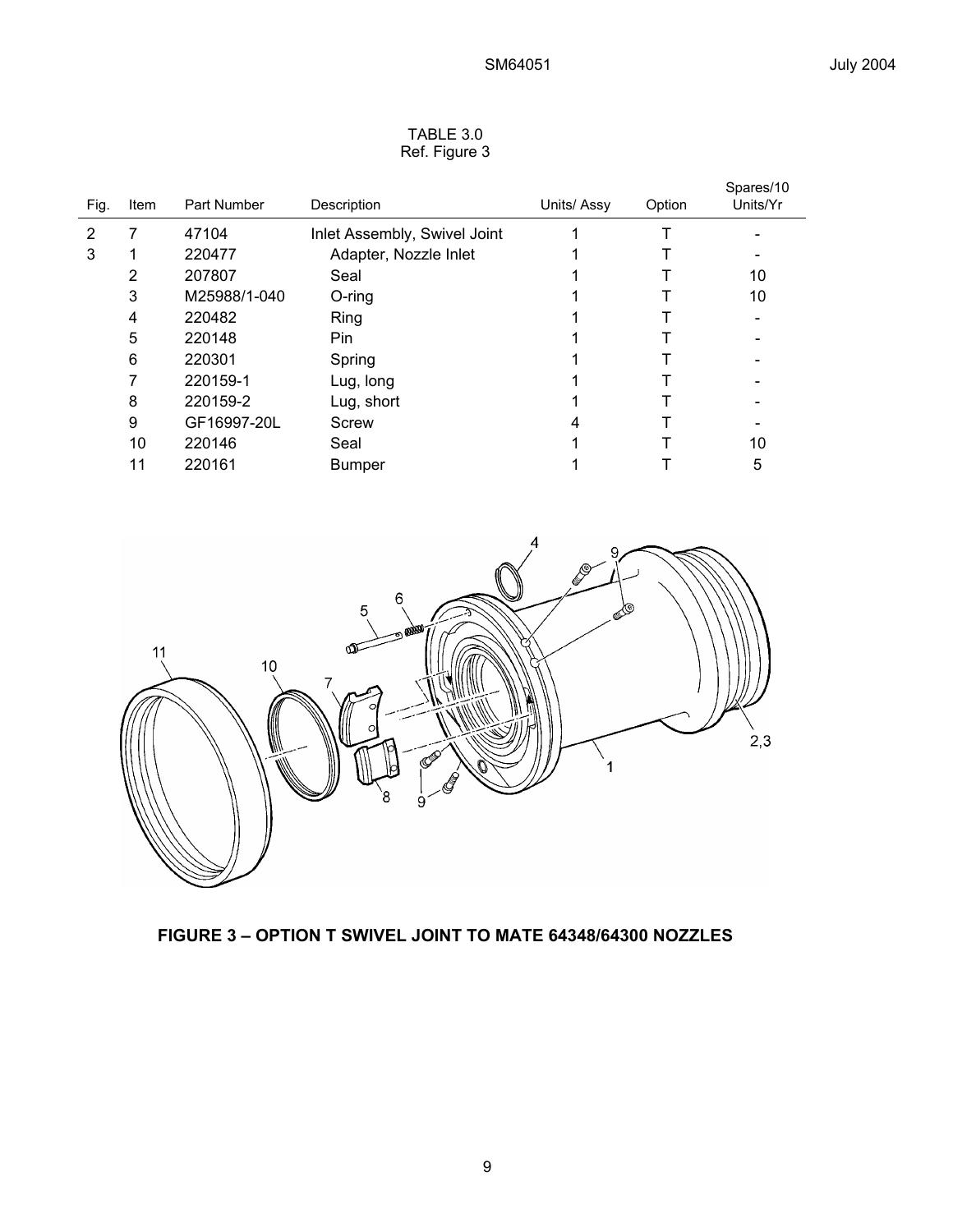| TABLE 3.0     |  |
|---------------|--|
| Ref. Figure 3 |  |

| Fig. | Item | Part Number  | Description                  | Units/ Assy | Option | Spares/10<br>Units/Yr |
|------|------|--------------|------------------------------|-------------|--------|-----------------------|
| 2    |      | 47104        | Inlet Assembly, Swivel Joint |             |        |                       |
| 3    |      | 220477       | Adapter, Nozzle Inlet        |             |        |                       |
|      | 2    | 207807       | Seal                         |             |        | 10                    |
|      | 3    | M25988/1-040 | $O$ -ring                    |             |        | 10                    |
|      | 4    | 220482       | Ring                         |             |        |                       |
|      | 5    | 220148       | Pin                          |             |        |                       |
|      | 6    | 220301       | Spring                       |             |        |                       |
|      |      | 220159-1     | Lug, long                    |             |        |                       |
|      | 8    | 220159-2     | Lug, short                   |             |        |                       |
|      | 9    | GF16997-20L  | Screw                        | 4           |        |                       |
|      | 10   | 220146       | Seal                         |             |        | 10                    |
|      | 11   | 220161       | <b>Bumper</b>                |             |        | 5                     |



# **FIGURE 3 – OPTION T SWIVEL JOINT TO MATE 64348/64300 NOZZLES**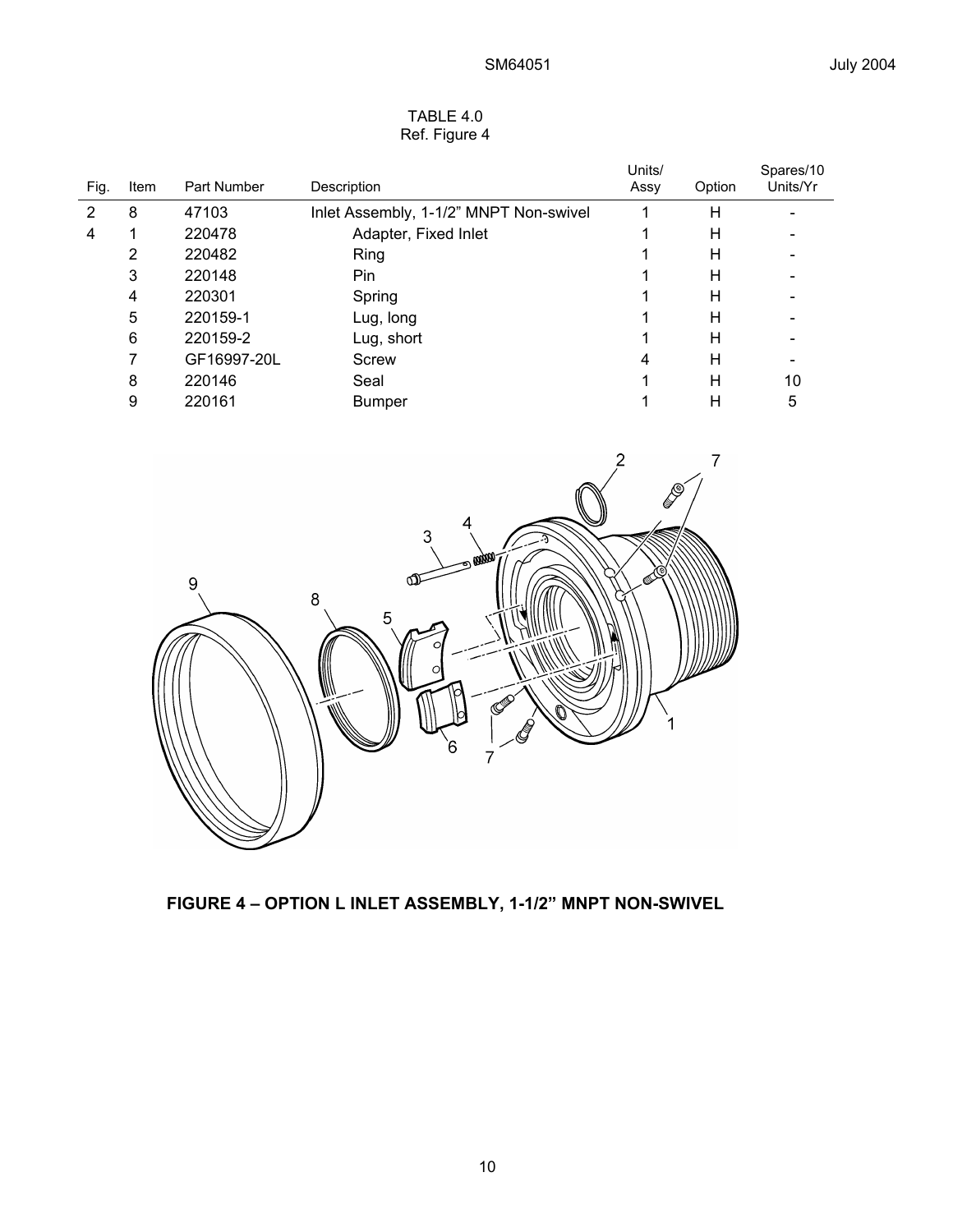| Fig. | Item | Part Number | Description                            | Units/<br>Assy | Option | Spares/10<br>Units/Yr |
|------|------|-------------|----------------------------------------|----------------|--------|-----------------------|
| 2    | 8    | 47103       | Inlet Assembly, 1-1/2" MNPT Non-swivel |                | Н      |                       |
| 4    |      | 220478      | Adapter, Fixed Inlet                   |                | н      |                       |
|      | 2    | 220482      | Ring                                   |                | н      |                       |
|      | 3    | 220148      | Pin                                    |                | н      |                       |
|      | 4    | 220301      | Spring                                 |                | н      |                       |
|      | 5    | 220159-1    | Lug, long                              |                | н      |                       |
|      | 6    | 220159-2    | Lug, short                             |                | н      |                       |
|      |      | GF16997-20L | Screw                                  | 4              | Н      |                       |
|      | 8    | 220146      | Seal                                   |                | н      | 10                    |
|      | 9    | 220161      | <b>Bumper</b>                          |                | Н      | 5                     |

## TABLE 4.0 Ref. Figure 4



**FIGURE 4 – OPTION L INLET ASSEMBLY, 1-1/2" MNPT NON-SWIVEL**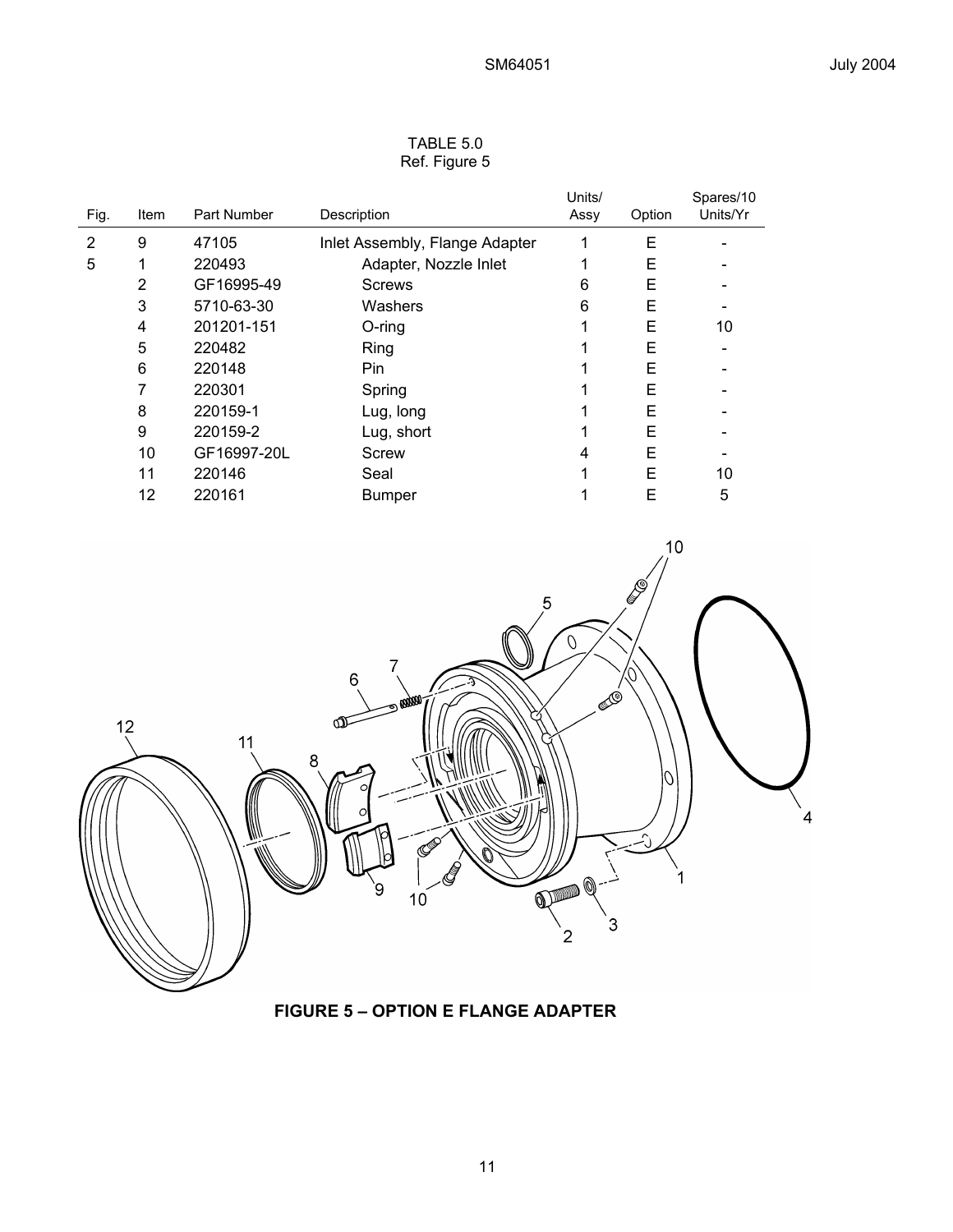| TABLE 5.0     |
|---------------|
| Ref. Figure 5 |

| Item | Part Number | Description                    | Units/<br>Assy | Option | Spares/10<br>Units/Yr |
|------|-------------|--------------------------------|----------------|--------|-----------------------|
| 9    | 47105       | Inlet Assembly, Flange Adapter |                | Е      |                       |
| 1    | 220493      | Adapter, Nozzle Inlet          |                | E      |                       |
| 2    | GF16995-49  | <b>Screws</b>                  | 6              | Е      |                       |
| 3    | 5710-63-30  | Washers                        | 6              | Е      |                       |
| 4    | 201201-151  | $O$ -ring                      |                | Е      | 10                    |
| 5    | 220482      | Ring                           |                | E      |                       |
| 6    | 220148      | Pin                            |                | Е      |                       |
| 7    | 220301      | Spring                         |                | E      |                       |
| 8    | 220159-1    | Lug, long                      |                | E      |                       |
| 9    | 220159-2    | Lug, short                     |                | Е      |                       |
| 10   | GF16997-20L | Screw                          | 4              | Е      |                       |
| 11   | 220146      | Seal                           |                | E      | 10                    |
| 12   | 220161      | <b>Bumper</b>                  |                | Ε      | 5                     |
|      |             |                                |                |        |                       |



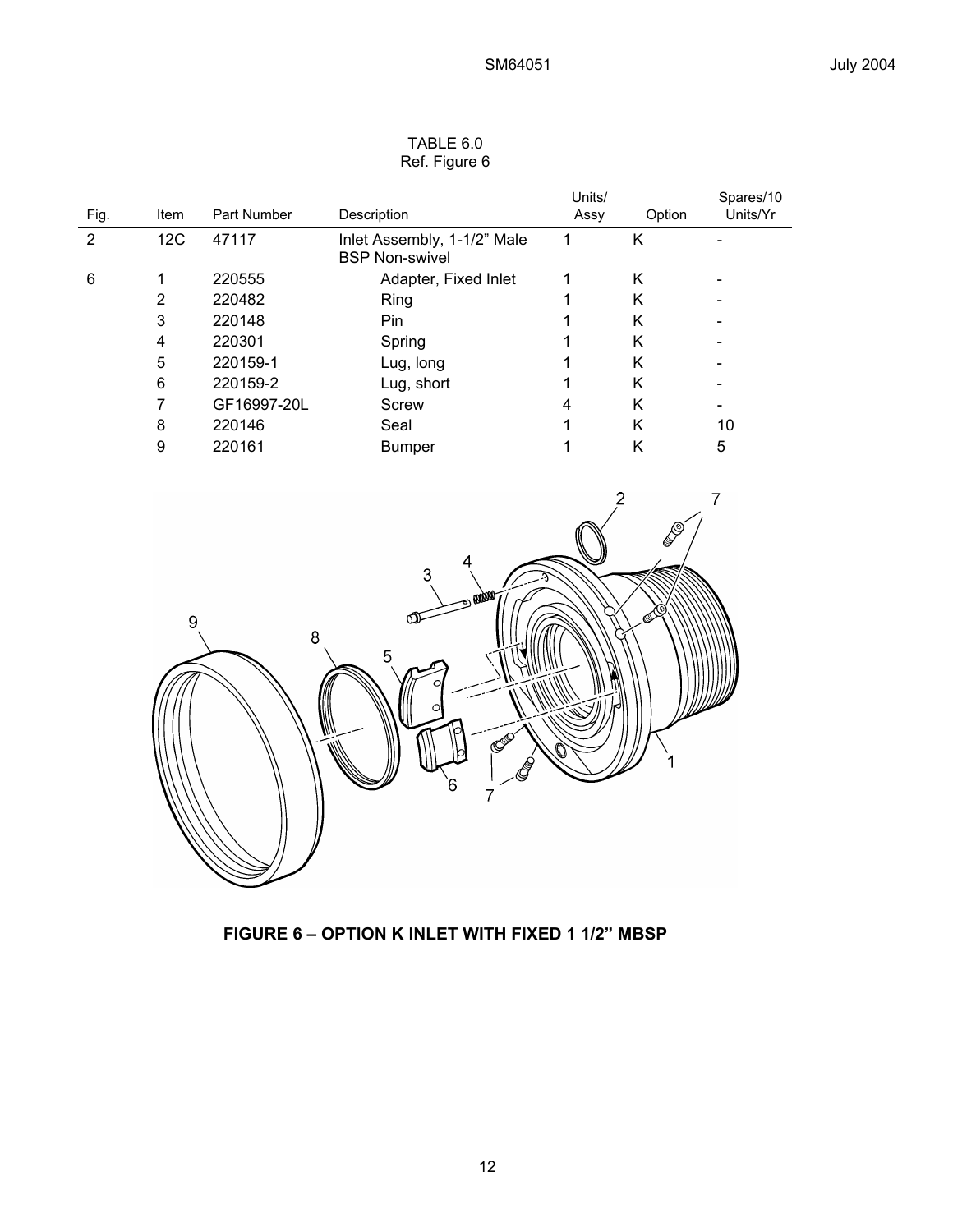| TABLE 6.0 |               |  |  |  |
|-----------|---------------|--|--|--|
|           | Ref. Figure 6 |  |  |  |

| Fig. | Item | Part Number | Description                                          | Units/<br>Assy | Option | Spares/10<br>Units/Yr |
|------|------|-------------|------------------------------------------------------|----------------|--------|-----------------------|
| 2    | 12C  | 47117       | Inlet Assembly, 1-1/2" Male<br><b>BSP Non-swivel</b> |                | Κ      |                       |
| 6    | 1    | 220555      | Adapter, Fixed Inlet                                 |                | K      |                       |
|      | 2    | 220482      | Ring                                                 |                | Κ      |                       |
|      | 3    | 220148      | <b>Pin</b>                                           |                | K      |                       |
|      | 4    | 220301      | Spring                                               |                | Κ      |                       |
|      | 5    | 220159-1    | Lug, long                                            |                | K      |                       |
|      | 6    | 220159-2    | Lug, short                                           |                | K      |                       |
|      |      | GF16997-20L | Screw                                                | 4              | K      |                       |
|      | 8    | 220146      | Seal                                                 |                | K      | 10                    |
|      | 9    | 220161      | <b>Bumper</b>                                        |                | Κ      | 5                     |
|      |      |             |                                                      |                |        |                       |



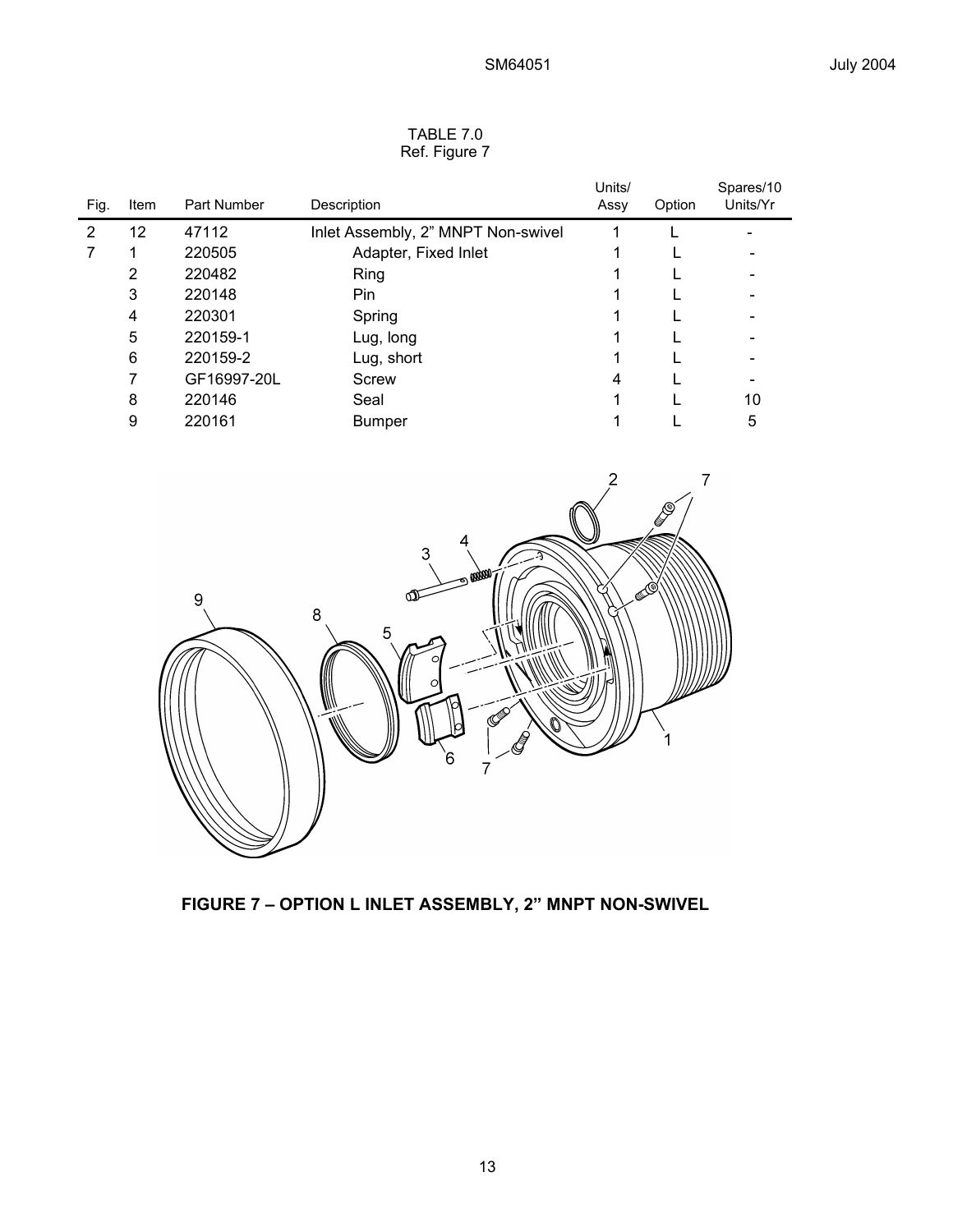| Fig. | Item | Part Number | Description                        | Units/<br>Assy | Option | Spares/10<br>Units/Yr |
|------|------|-------------|------------------------------------|----------------|--------|-----------------------|
| 2    | 12   | 47112       | Inlet Assembly, 2" MNPT Non-swivel |                |        |                       |
|      |      | 220505      | Adapter, Fixed Inlet               |                |        |                       |
|      | 2    | 220482      | Ring                               |                |        |                       |
|      | 3    | 220148      | Pin.                               |                |        |                       |
|      | 4    | 220301      | Spring                             |                |        |                       |
|      | 5    | 220159-1    | Lug, long                          |                |        |                       |
|      | 6    | 220159-2    | Lug, short                         |                |        |                       |
|      | 7    | GF16997-20L | Screw                              | 4              |        |                       |
|      | 8    | 220146      | Seal                               |                |        | 10                    |
|      | 9    | 220161      | <b>Bumper</b>                      |                |        | 5                     |

#### TABLE 7.0 Ref. Figure 7



**FIGURE 7 – OPTION L INLET ASSEMBLY, 2" MNPT NON-SWIVEL**